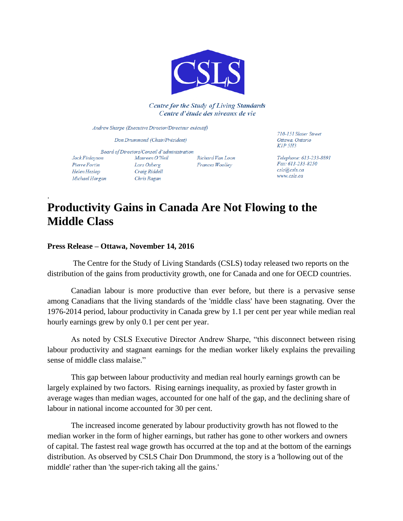

**Centre for the Study of Living Standards** Centre d'étude des niveaux de vie

Andrew Sharpe (Executive Director/Directeur exécutif)

Don Drummond (Chair/Président)

Board of Directors/Conseil d'administration Jock Finlayson Maureen O'Neil Richard Van Loon Pierre Fortin Lars Osberg Frances Woolley Craig Riddell Helen Heslop Chris Ragan Michael Horgan

710-151 Slater Street Ottawa, Ontario KIP 5H3

Telephone: 613-233-8891 Fax: 613-233-8250 csls@csls.ca www.csls.ca

## **Productivity Gains in Canada Are Not Flowing to the Middle Class**

## **Press Release – Ottawa, November 14, 2016**

.

The Centre for the Study of Living Standards (CSLS) today released two reports on the distribution of the gains from productivity growth, one for Canada and one for OECD countries.

Canadian labour is more productive than ever before, but there is a pervasive sense among Canadians that the living standards of the 'middle class' have been stagnating. Over the 1976-2014 period, labour productivity in Canada grew by 1.1 per cent per year while median real hourly earnings grew by only 0.1 per cent per year.

As noted by CSLS Executive Director Andrew Sharpe, "this disconnect between rising labour productivity and stagnant earnings for the median worker likely explains the prevailing sense of middle class malaise."

This gap between labour productivity and median real hourly earnings growth can be largely explained by two factors. Rising earnings inequality, as proxied by faster growth in average wages than median wages, accounted for one half of the gap, and the declining share of labour in national income accounted for 30 per cent.

The increased income generated by labour productivity growth has not flowed to the median worker in the form of higher earnings, but rather has gone to other workers and owners of capital. The fastest real wage growth has occurred at the top and at the bottom of the earnings distribution. As observed by CSLS Chair Don Drummond, the story is a 'hollowing out of the middle' rather than 'the super-rich taking all the gains.'